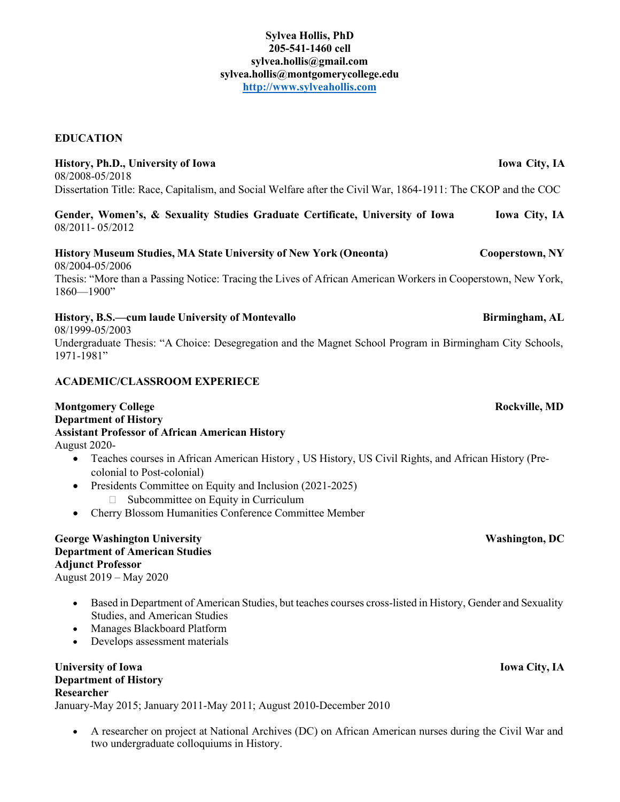### **Sylvea Hollis, PhD 205-541-1460 cell [sylvea.hollis@gmail.com](mailto:sylvea.hollis@gmail.com) [sylvea.hollis@montgomerycollege.edu](mailto:sylvea.hollis@montgomerycollege.edu) [http://www.sylveahollis.com](http://www.sylveahollis.com/)**

### **EDUCATION**

**History, Ph.D., University of Iowa Iowa City, IA** 08/2008-05/2018 Dissertation Title: Race, Capitalism, and Social Welfare after the Civil War, 1864-1911: The CKOP and the COC **Gender, Women's, & Sexuality Studies Graduate Certificate, University of Iowa Iowa City, IA** 08/2011- 05/2012 **History Museum Studies, MA State University of New York (Oneonta) Cooperstown, NY** 08/2004-05/2006 Thesis: "More than a Passing Notice: Tracing the Lives of African American Workers in Cooperstown, New York, 1860—1900" **History, B.S.—cum laude University of Montevallo Birmingham, AL** 08/1999-05/2003 Undergraduate Thesis: "A Choice: Desegregation and the Magnet School Program in Birmingham City Schools, 1971-1981"

# **ACADEMIC/CLASSROOM EXPERIECE**

#### **Montgomery College Rockville, MD Department of History Assistant Professor of African American History** August 2020-

- Teaches courses in African American History , US History, US Civil Rights, and African History (Precolonial to Post-colonial)
- Presidents Committee on Equity and Inclusion (2021-2025)  $\Box$  Subcommittee on Equity in Curriculum
- Cherry Blossom Humanities Conference Committee Member

### **George Washington University Washington, DC Department of American Studies Adjunct Professor** August 2019 – May 2020

- Based in Department of American Studies, but teaches courses cross-listed in History, Gender and Sexuality Studies, and American Studies
- Manages Blackboard Platform
- Develops assessment materials

#### **University of Iowa Iowa City, IA Department of History Researcher**

January-May 2015; January 2011-May 2011; August 2010-December 2010

• A researcher on project at National Archives (DC) on African American nurses during the Civil War and two undergraduate colloquiums in History.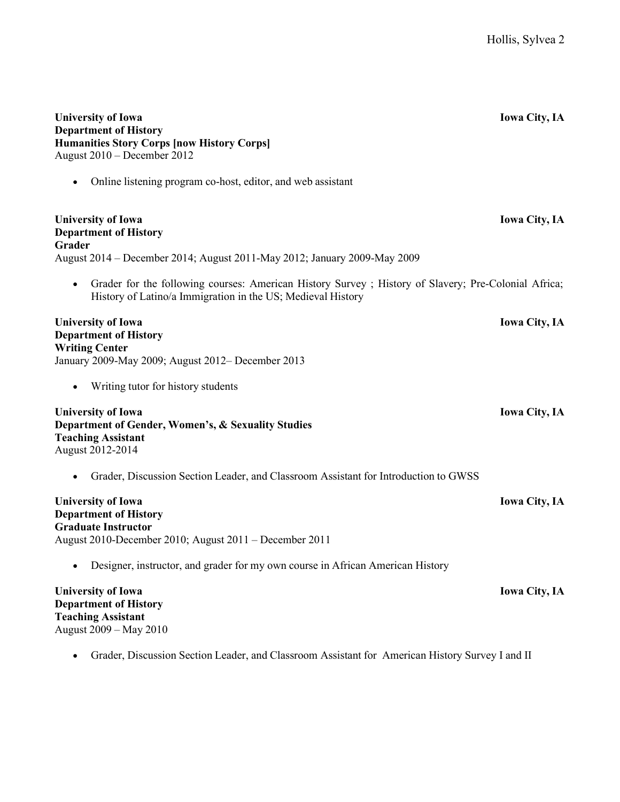| <b>University of Iowa</b><br><b>Department of History</b><br><b>Humanities Story Corps [now History Corps]</b><br>August 2010 - December 2012                       | <b>Iowa City, IA</b> |
|---------------------------------------------------------------------------------------------------------------------------------------------------------------------|----------------------|
| Online listening program co-host, editor, and web assistant                                                                                                         |                      |
| <b>University of Iowa</b><br><b>Department of History</b><br>Grader                                                                                                 | <b>Iowa City, IA</b> |
| August 2014 – December 2014; August 2011-May 2012; January 2009-May 2009                                                                                            |                      |
| Grader for the following courses: American History Survey ; History of Slavery; Pre-Colonial Africa;<br>History of Latino/a Immigration in the US; Medieval History |                      |
| <b>University of Iowa</b><br><b>Department of History</b><br><b>Writing Center</b><br>January 2009-May 2009; August 2012- December 2013                             | <b>Iowa City, IA</b> |
| Writing tutor for history students                                                                                                                                  |                      |
| <b>University of Iowa</b><br>Department of Gender, Women's, & Sexuality Studies<br><b>Teaching Assistant</b><br>August 2012-2014                                    | <b>Iowa City, IA</b> |
| Grader, Discussion Section Leader, and Classroom Assistant for Introduction to GWSS                                                                                 |                      |
| <b>University of Iowa</b><br><b>Department of History</b><br><b>Graduate Instructor</b><br>August 2010-December 2010; August 2011 - December 2011                   | <b>Iowa City, IA</b> |
| Designer, instructor, and grader for my own course in African American History                                                                                      |                      |
| <b>University of Iowa</b><br><b>Department of History</b><br><b>Teaching Assistant</b><br>August 2009 - May 2010                                                    | <b>Iowa City, IA</b> |
| Grader, Discussion Section Leader, and Classroom Assistant for American History Survey I and II                                                                     |                      |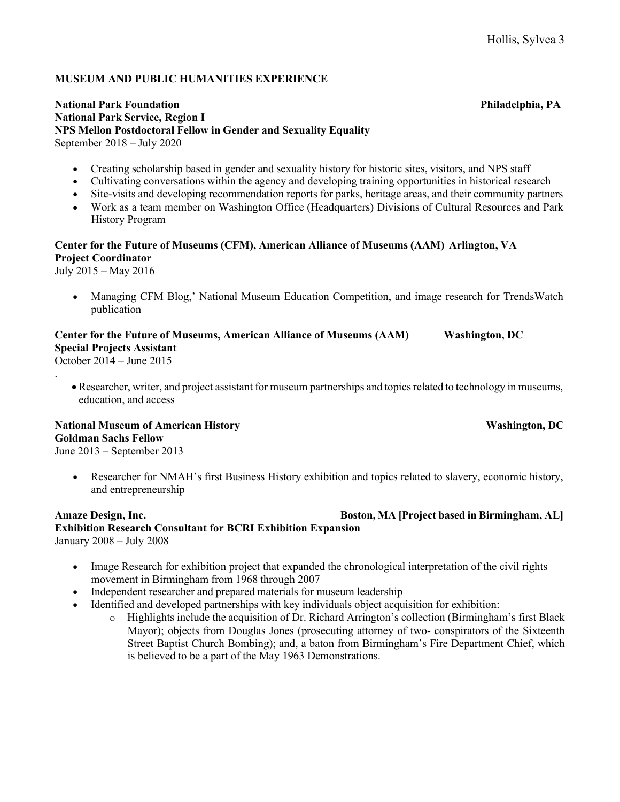### **MUSEUM AND PUBLIC HUMANITIES EXPERIENCE**

#### **National Park Foundation Philadelphia, PA National Park Service, Region I NPS Mellon Postdoctoral Fellow in Gender and Sexuality Equality** September 2018 – July 2020

- Creating scholarship based in gender and sexuality history for historic sites, visitors, and NPS staff
- Cultivating conversations within the agency and developing training opportunities in historical research
- Site-visits and developing recommendation reports for parks, heritage areas, and their community partners
- Work as a team member on Washington Office (Headquarters) Divisions of Cultural Resources and Park History Program

# **Center for the Future of Museums (CFM), American Alliance of Museums (AAM) Arlington, VA Project Coordinator**

July 2015 – May 2016

• Managing CFM Blog,' National Museum Education Competition, and image research for TrendsWatch publication

# **Center for the Future of Museums, American Alliance of Museums (AAM) Washington, DC Special Projects Assistant**

October 2014 – June 2015 .

> • Researcher, writer, and project assistant for museum partnerships and topicsrelated to technology in museums, education, and access

#### **National Museum of American History Washington, DC Goldman Sachs Fellow** June 2013 – September 2013

• Researcher for NMAH's first Business History exhibition and topics related to slavery, economic history, and entrepreneurship

### **Amaze Design, Inc. Boston, MA [Project based in Birmingham, AL] Exhibition Research Consultant for BCRI Exhibition Expansion** January 2008 – July 2008

- Image Research for exhibition project that expanded the chronological interpretation of the civil rights movement in Birmingham from 1968 through 2007
- Independent researcher and prepared materials for museum leadership
- Identified and developed partnerships with key individuals object acquisition for exhibition:
	- o Highlights include the acquisition of Dr. Richard Arrington's collection (Birmingham's first Black Mayor); objects from Douglas Jones (prosecuting attorney of two- conspirators of the Sixteenth Street Baptist Church Bombing); and, a baton from Birmingham's Fire Department Chief, which is believed to be a part of the May 1963 Demonstrations.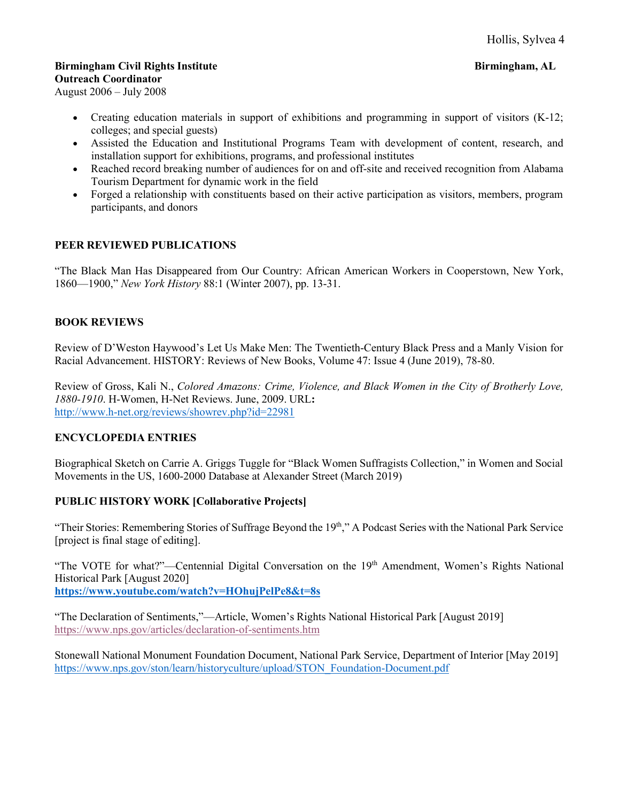# **Birmingham Civil Rights Institute Birmingham, AL**

**Outreach Coordinator**

August 2006 – July 2008

- Creating education materials in support of exhibitions and programming in support of visitors (K-12; colleges; and special guests)
- Assisted the Education and Institutional Programs Team with development of content, research, and installation support for exhibitions, programs, and professional institutes
- Reached record breaking number of audiences for on and off-site and received recognition from Alabama Tourism Department for dynamic work in the field
- Forged a relationship with constituents based on their active participation as visitors, members, program participants, and donors

# **PEER REVIEWED PUBLICATIONS**

"The Black Man Has Disappeared from Our Country: African American Workers in Cooperstown, New York, 1860—1900," *New York History* 88:1 (Winter 2007), pp. 13-31.

# **BOOK REVIEWS**

Review of D'Weston Haywood's Let Us Make Men: The Twentieth-Century Black Press and a Manly Vision for Racial Advancement. HISTORY: Reviews of New Books, Volume 47: Issue 4 (June 2019), 78-80.

Review of Gross, Kali N., *Colored Amazons: Crime, Violence, and Black Women in the City of Brotherly Love, 1880-1910*. H-Women, H-Net Reviews. June, 2009. URL**:**  <http://www.h-net.org/reviews/showrev.php?id=22981>

# **ENCYCLOPEDIA ENTRIES**

Biographical Sketch on Carrie A. Griggs Tuggle for "Black Women Suffragists Collection," in Women and Social Movements in the US, 1600-2000 Database at Alexander Street (March 2019)

# **PUBLIC HISTORY WORK [Collaborative Projects]**

"Their Stories: Remembering Stories of Suffrage Beyond the 19th," A Podcast Series with the National Park Service [project is final stage of editing].

"The VOTE for what?"—Centennial Digital Conversation on the 19<sup>th</sup> Amendment, Women's Rights National Historical Park [August 2020]

**https:/[/www.youtube.com/watch?v=HOhujPelPe8&t=8s](http://www.youtube.com/watch?v=HOhujPelPe8&t=8s)**

"The Declaration of Sentiments,"—Article, Women's Rights National Historical Park [August 2019] https:/[/www.nps.gov/articles/declaration-of-sentiments.htm](http://www.nps.gov/articles/declaration-of-sentiments.htm)

Stonewall National Monument Foundation Document, National Park Service, Department of Interior [May 2019] https:/[/www.nps.gov/ston/learn/historyculture/upload/STON\\_Foundation-Document.pdf](http://www.nps.gov/ston/learn/historyculture/upload/STON_Foundation-Document.pdf)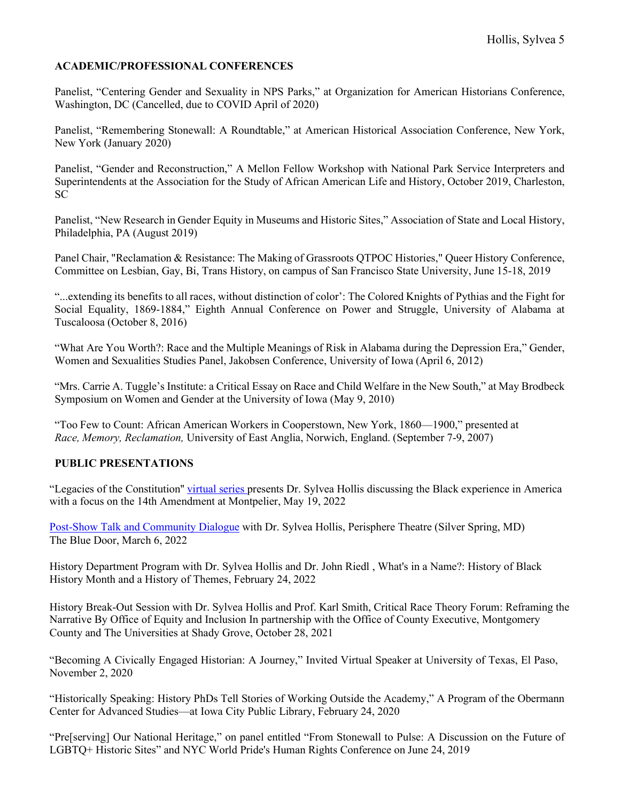# **ACADEMIC/PROFESSIONAL CONFERENCES**

Panelist, "Centering Gender and Sexuality in NPS Parks," at Organization for American Historians Conference, Washington, DC (Cancelled, due to COVID April of 2020)

Panelist, "Remembering Stonewall: A Roundtable," at American Historical Association Conference, New York, New York (January 2020)

Panelist, "Gender and Reconstruction," A Mellon Fellow Workshop with National Park Service Interpreters and Superintendents at the Association for the Study of African American Life and History, October 2019, Charleston, SC

Panelist, "New Research in Gender Equity in Museums and Historic Sites," Association of State and Local History, Philadelphia, PA (August 2019)

Panel Chair, "Reclamation & Resistance: The Making of Grassroots QTPOC Histories," Queer History Conference, Committee on Lesbian, Gay, Bi, Trans History, on campus of San Francisco State University, June 15-18, 2019

"...extending its benefits to all races, without distinction of color': The Colored Knights of Pythias and the Fight for Social Equality, 1869-1884," Eighth Annual Conference on Power and Struggle, University of Alabama at Tuscaloosa (October 8, 2016)

"What Are You Worth?: Race and the Multiple Meanings of Risk in Alabama during the Depression Era," Gender, Women and Sexualities Studies Panel, Jakobsen Conference, University of Iowa (April 6, 2012)

"Mrs. Carrie A. Tuggle's Institute: a Critical Essay on Race and Child Welfare in the New South," at May Brodbeck Symposium on Women and Gender at the University of Iowa (May 9, 2010)

"Too Few to Count: African American Workers in Cooperstown, New York, 1860—1900," presented at *Race, Memory, Reclamation,* University of East Anglia, Norwich, England. (September 7-9, 2007)

#### **PUBLIC PRESENTATIONS**

"Legacies of the Constitution'' [virtual](https://www.montpelier.org/events/legacies_sylveahollis) series presents Dr. Sylvea Hollis discussing the Black experience in America with a focus on the 14th Amendment at Montpelier, May 19, 2022

[Post-Show Talk and Community Dialogue](https://www.culturespotmc.com/event/blue-door/) with Dr. Sylvea Hollis, Perisphere Theatre (Silver Spring, MD) The Blue Door, March 6, 2022

History Department Program with Dr. Sylvea Hollis and Dr. John Riedl , What's in a Name?: History of Black History Month and a History of Themes, February 24, 2022

History Break-Out Session with Dr. Sylvea Hollis and Prof. Karl Smith, Critical Race Theory Forum: Reframing the Narrative By Office of Equity and Inclusion In partnership with the Office of County Executive, Montgomery County and The Universities at Shady Grove, October 28, 2021

"Becoming A Civically Engaged Historian: A Journey," Invited Virtual Speaker at University of Texas, El Paso, November 2, 2020

"Historically Speaking: History PhDs Tell Stories of Working Outside the Academy," A Program of the Obermann Center for Advanced Studies—at Iowa City Public Library, February 24, 2020

"Pre[serving] Our National Heritage," on panel entitled "From Stonewall to Pulse: A Discussion on the Future of LGBTQ+ Historic Sites" and NYC World Pride's Human Rights Conference on June 24, 2019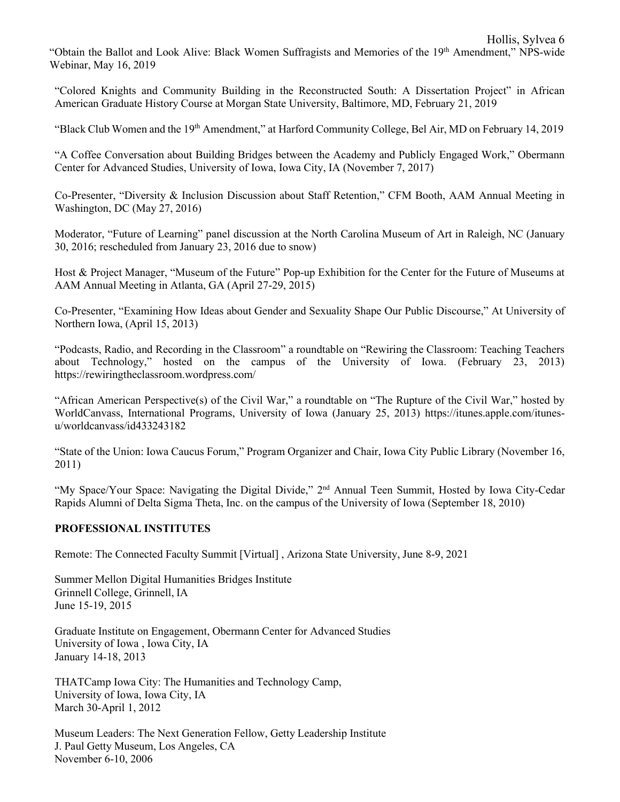"Obtain the Ballot and Look Alive: Black Women Suffragists and Memories of the 19<sup>th</sup> Amendment," NPS-wide Webinar, May 16, 2019

"Colored Knights and Community Building in the Reconstructed South: A Dissertation Project" in African American Graduate History Course at Morgan State University, Baltimore, MD, February 21, 2019

"Black Club Women and the 19th Amendment," at Harford Community College, Bel Air, MD on February 14, 2019

"A Coffee Conversation about Building Bridges between the Academy and Publicly Engaged Work," Obermann Center for Advanced Studies, University of Iowa, Iowa City, IA (November 7, 2017)

Co-Presenter, "Diversity & Inclusion Discussion about Staff Retention," CFM Booth, AAM Annual Meeting in Washington, DC (May 27, 2016)

Moderator, "Future of Learning" panel discussion at the North Carolina Museum of Art in Raleigh, NC (January 30, 2016; rescheduled from January 23, 2016 due to snow)

Host & Project Manager, "Museum of the Future" Pop-up Exhibition for the Center for the Future of Museums at AAM Annual Meeting in Atlanta, GA (April 27-29, 2015)

Co-Presenter, "Examining How Ideas about Gender and Sexuality Shape Our Public Discourse," At University of Northern Iowa, (April 15, 2013)

"Podcasts, Radio, and Recording in the Classroom" a roundtable on "Rewiring the Classroom: Teaching Teachers about Technology," hosted on the campus of the University of Iowa. (February 23, 2013) https://rewiringtheclassroom.wordpress.com/

"African American Perspective(s) of the Civil War," a roundtable on "The Rupture of the Civil War," hosted by WorldCanvass, International Programs, University of Iowa (January 25, 2013) https://itunes.apple.com/itunesu/worldcanvass/id433243182

"State of the Union: Iowa Caucus Forum," Program Organizer and Chair, Iowa City Public Library (November 16, 2011)

"My Space/Your Space: Navigating the Digital Divide," 2<sup>nd</sup> Annual Teen Summit, Hosted by Iowa City-Cedar Rapids Alumni of Delta Sigma Theta, Inc. on the campus of the University of Iowa (September 18, 2010)

#### **PROFESSIONAL INSTITUTES**

Remote: The Connected Faculty Summit [Virtual] , Arizona State University, June 8-9, 2021

Summer Mellon Digital Humanities Bridges Institute Grinnell College, Grinnell, IA June 15-19, 2015

Graduate Institute on Engagement, Obermann Center for Advanced Studies University of Iowa , Iowa City, IA January 14-18, 2013

THATCamp Iowa City: The Humanities and Technology Camp, University of Iowa, Iowa City, IA March 30-April 1, 2012

Museum Leaders: The Next Generation Fellow, Getty Leadership Institute J. Paul Getty Museum, Los Angeles, CA November 6-10, 2006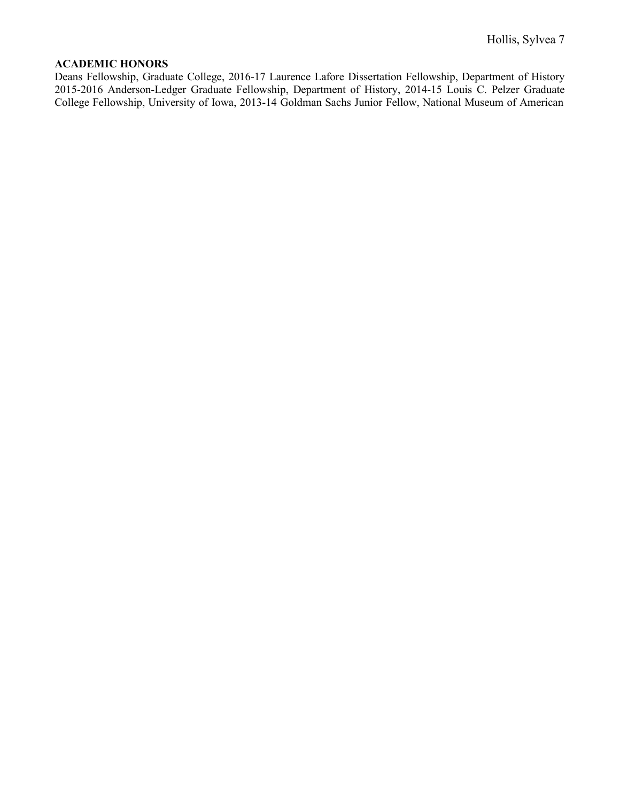#### **ACADEMIC HONORS**

Deans Fellowship, Graduate College, 2016-17 Laurence Lafore Dissertation Fellowship, Department of History 2015-2016 Anderson-Ledger Graduate Fellowship, Department of History, 2014-15 Louis C. Pelzer Graduate College Fellowship, University of Iowa, 2013-14 Goldman Sachs Junior Fellow, National Museum of American